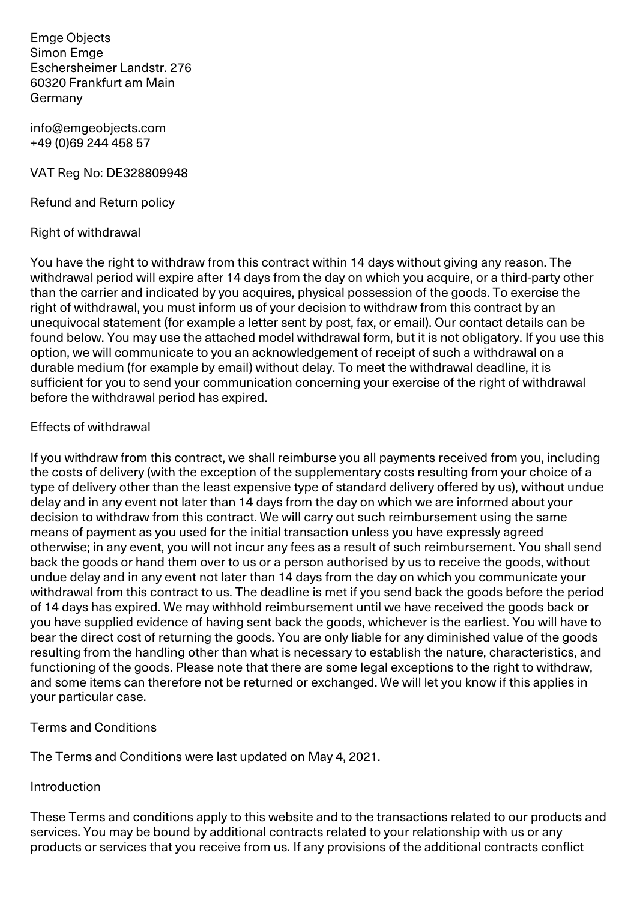Emge Objects Simon Emge Eschersheimer Landstr. 276 60320 Frankfurt am Main Germany

info@emgeobjects.com +49 (0)69 244 458 57

VAT Reg No: DE328809948

Refund and Return policy

#### Right of withdrawal

You have the right to withdraw from this contract within 14 days without giving any reason. The withdrawal period will expire after 14 days from the day on which you acquire, or a third-party other than the carrier and indicated by you acquires, physical possession of the goods. To exercise the right of withdrawal, you must inform us of your decision to withdraw from this contract by an unequivocal statement (for example a letter sent by post, fax, or email). Our contact details can be found below. You may use the attached model withdrawal form, but it is not obligatory. If you use this option, we will communicate to you an acknowledgement of receipt of such a withdrawal on a durable medium (for example by email) without delay. To meet the withdrawal deadline, it is sufficient for you to send your communication concerning your exercise of the right of withdrawal before the withdrawal period has expired.

#### Effects of withdrawal

If you withdraw from this contract, we shall reimburse you all payments received from you, including the costs of delivery (with the exception of the supplementary costs resulting from your choice of a type of delivery other than the least expensive type of standard delivery offered by us), without undue delay and in any event not later than 14 days from the day on which we are informed about your decision to withdraw from this contract. We will carry out such reimbursement using the same means of payment as you used for the initial transaction unless you have expressly agreed otherwise; in any event, you will not incur any fees as a result of such reimbursement. You shall send back the goods or hand them over to us or a person authorised by us to receive the goods, without undue delay and in any event not later than 14 days from the day on which you communicate your withdrawal from this contract to us. The deadline is met if you send back the goods before the period of 14 days has expired. We may withhold reimbursement until we have received the goods back or you have supplied evidence of having sent back the goods, whichever is the earliest. You will have to bear the direct cost of returning the goods. You are only liable for any diminished value of the goods resulting from the handling other than what is necessary to establish the nature, characteristics, and functioning of the goods. Please note that there are some legal exceptions to the right to withdraw, and some items can therefore not be returned or exchanged. We will let you know if this applies in your particular case.

### Terms and Conditions

The Terms and Conditions were last updated on May 4, 2021.

### **Introduction**

These Terms and conditions apply to this website and to the transactions related to our products and services. You may be bound by additional contracts related to your relationship with us or any products or services that you receive from us. If any provisions of the additional contracts conflict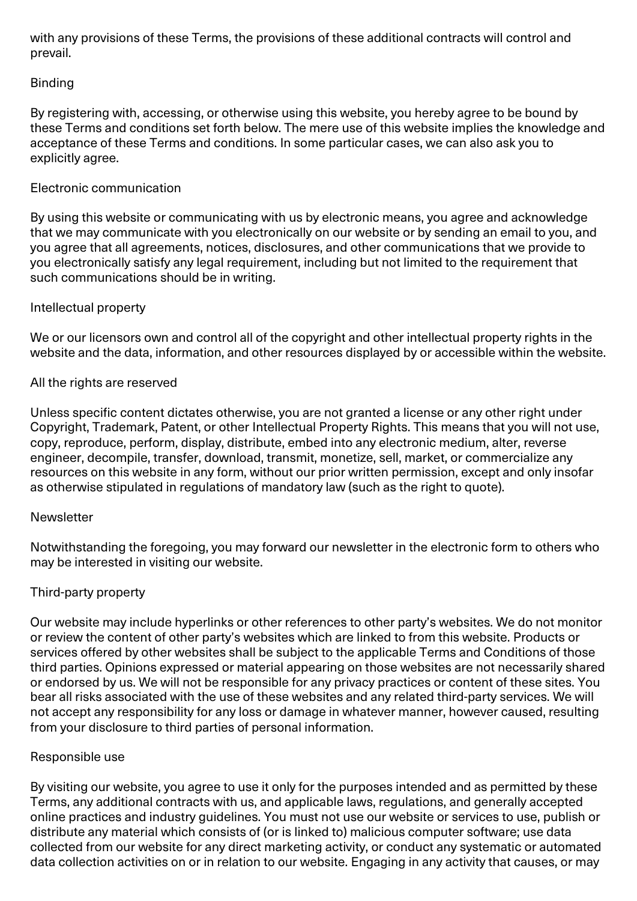with any provisions of these Terms, the provisions of these additional contracts will control and prevail.

# Binding

By registering with, accessing, or otherwise using this website, you hereby agree to be bound by these Terms and conditions set forth below. The mere use of this website implies the knowledge and acceptance of these Terms and conditions. In some particular cases, we can also ask you to explicitly agree.

# Electronic communication

By using this website or communicating with us by electronic means, you agree and acknowledge that we may communicate with you electronically on our website or by sending an email to you, and you agree that all agreements, notices, disclosures, and other communications that we provide to you electronically satisfy any legal requirement, including but not limited to the requirement that such communications should be in writing.

### Intellectual property

We or our licensors own and control all of the copyright and other intellectual property rights in the website and the data, information, and other resources displayed by or accessible within the website.

# All the rights are reserved

Unless specific content dictates otherwise, you are not granted a license or any other right under Copyright, Trademark, Patent, or other Intellectual Property Rights. This means that you will not use, copy, reproduce, perform, display, distribute, embed into any electronic medium, alter, reverse engineer, decompile, transfer, download, transmit, monetize, sell, market, or commercialize any resources on this website in any form, without our prior written permission, except and only insofar as otherwise stipulated in regulations of mandatory law (such as the right to quote).

### **Newsletter**

Notwithstanding the foregoing, you may forward our newsletter in the electronic form to others who may be interested in visiting our website.

### Third-party property

Our website may include hyperlinks or other references to other party's websites. We do not monitor or review the content of other party's websites which are linked to from this website. Products or services offered by other websites shall be subject to the applicable Terms and Conditions of those third parties. Opinions expressed or material appearing on those websites are not necessarily shared or endorsed by us. We will not be responsible for any privacy practices or content of these sites. You bear all risks associated with the use of these websites and any related third-party services. We will not accept any responsibility for any loss or damage in whatever manner, however caused, resulting from your disclosure to third parties of personal information.

### Responsible use

By visiting our website, you agree to use it only for the purposes intended and as permitted by these Terms, any additional contracts with us, and applicable laws, regulations, and generally accepted online practices and industry guidelines. You must not use our website or services to use, publish or distribute any material which consists of (or is linked to) malicious computer software; use data collected from our website for any direct marketing activity, or conduct any systematic or automated data collection activities on or in relation to our website. Engaging in any activity that causes, or may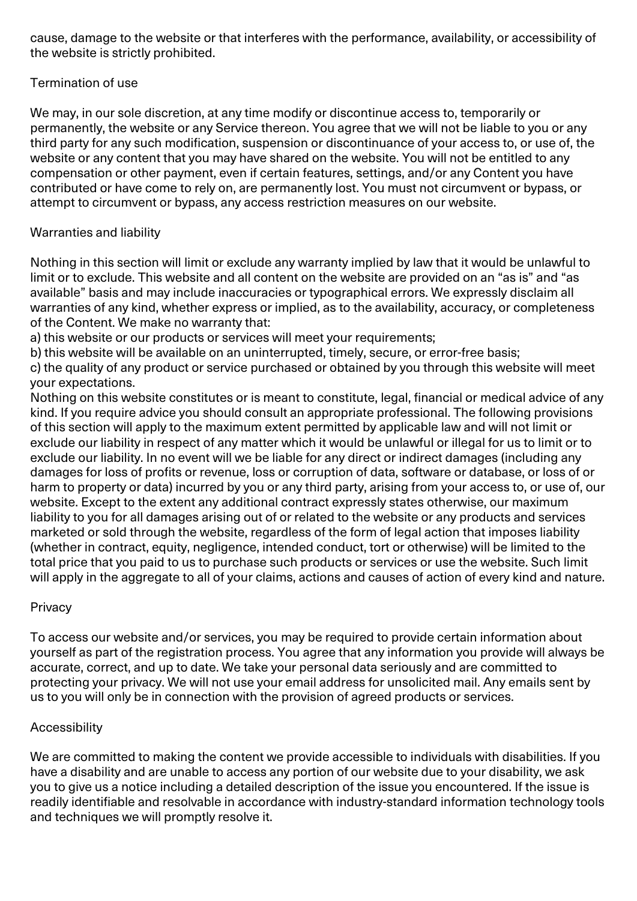cause, damage to the website or that interferes with the performance, availability, or accessibility of the website is strictly prohibited.

# Termination of use

We may, in our sole discretion, at any time modify or discontinue access to, temporarily or permanently, the website or any Service thereon. You agree that we will not be liable to you or any third party for any such modification, suspension or discontinuance of your access to, or use of, the website or any content that you may have shared on the website. You will not be entitled to any compensation or other payment, even if certain features, settings, and/or any Content you have contributed or have come to rely on, are permanently lost. You must not circumvent or bypass, or attempt to circumvent or bypass, any access restriction measures on our website.

# Warranties and liability

Nothing in this section will limit or exclude any warranty implied by law that it would be unlawful to limit or to exclude. This website and all content on the website are provided on an "as is" and "as available" basis and may include inaccuracies or typographical errors. We expressly disclaim all warranties of any kind, whether express or implied, as to the availability, accuracy, or completeness of the Content. We make no warranty that:

a) this website or our products or services will meet your requirements;

b) this website will be available on an uninterrupted, timely, secure, or error-free basis;

c) the quality of any product or service purchased or obtained by you through this website will meet your expectations.

Nothing on this website constitutes or is meant to constitute, legal, financial or medical advice of any kind. If you require advice you should consult an appropriate professional. The following provisions of this section will apply to the maximum extent permitted by applicable law and will not limit or exclude our liability in respect of any matter which it would be unlawful or illegal for us to limit or to exclude our liability. In no event will we be liable for any direct or indirect damages (including any damages for loss of profits or revenue, loss or corruption of data, software or database, or loss of or harm to property or data) incurred by you or any third party, arising from your access to, or use of, our website. Except to the extent any additional contract expressly states otherwise, our maximum liability to you for all damages arising out of or related to the website or any products and services marketed or sold through the website, regardless of the form of legal action that imposes liability (whether in contract, equity, negligence, intended conduct, tort or otherwise) will be limited to the total price that you paid to us to purchase such products or services or use the website. Such limit will apply in the aggregate to all of your claims, actions and causes of action of every kind and nature.

### **Privacy**

To access our website and/or services, you may be required to provide certain information about yourself as part of the registration process. You agree that any information you provide will always be accurate, correct, and up to date. We take your personal data seriously and are committed to protecting your privacy. We will not use your email address for unsolicited mail. Any emails sent by us to you will only be in connection with the provision of agreed products or services.

### Accessibility

We are committed to making the content we provide accessible to individuals with disabilities. If you have a disability and are unable to access any portion of our website due to your disability, we ask you to give us a notice including a detailed description of the issue you encountered. If the issue is readily identifiable and resolvable in accordance with industry-standard information technology tools and techniques we will promptly resolve it.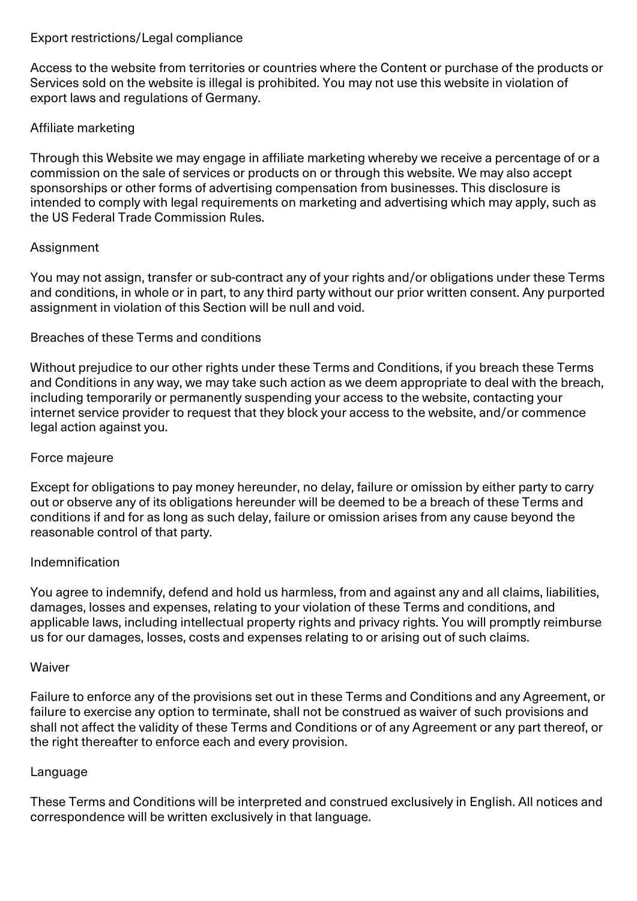#### Export restrictions/Legal compliance

Access to the website from territories or countries where the Content or purchase of the products or Services sold on the website is illegal is prohibited. You may not use this website in violation of export laws and regulations of Germany.

# Affiliate marketing

Through this Website we may engage in affiliate marketing whereby we receive a percentage of or a commission on the sale of services or products on or through this website. We may also accept sponsorships or other forms of advertising compensation from businesses. This disclosure is intended to comply with legal requirements on marketing and advertising which may apply, such as the US Federal Trade Commission Rules.

### Assignment

You may not assign, transfer or sub-contract any of your rights and/or obligations under these Terms and conditions, in whole or in part, to any third party without our prior written consent. Any purported assignment in violation of this Section will be null and void.

### Breaches of these Terms and conditions

Without prejudice to our other rights under these Terms and Conditions, if you breach these Terms and Conditions in any way, we may take such action as we deem appropriate to deal with the breach, including temporarily or permanently suspending your access to the website, contacting your internet service provider to request that they block your access to the website, and/or commence legal action against you.

### Force majeure

Except for obligations to pay money hereunder, no delay, failure or omission by either party to carry out or observe any of its obligations hereunder will be deemed to be a breach of these Terms and conditions if and for as long as such delay, failure or omission arises from any cause beyond the reasonable control of that party.

### Indemnification

You agree to indemnify, defend and hold us harmless, from and against any and all claims, liabilities, damages, losses and expenses, relating to your violation of these Terms and conditions, and applicable laws, including intellectual property rights and privacy rights. You will promptly reimburse us for our damages, losses, costs and expenses relating to or arising out of such claims.

### **Waiver**

Failure to enforce any of the provisions set out in these Terms and Conditions and any Agreement, or failure to exercise any option to terminate, shall not be construed as waiver of such provisions and shall not affect the validity of these Terms and Conditions or of any Agreement or any part thereof, or the right thereafter to enforce each and every provision.

### Language

These Terms and Conditions will be interpreted and construed exclusively in English. All notices and correspondence will be written exclusively in that language.